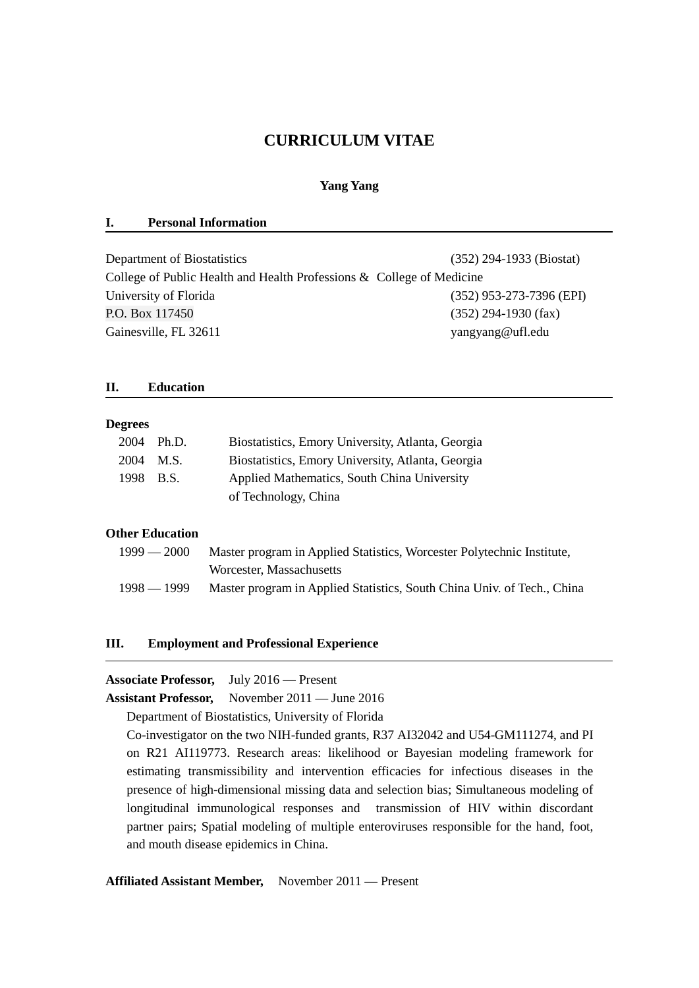# **CURRICULUM VITAE**

### **Yang Yang**

#### **I. Personal Information**

| Department of Biostatistics                                           | $(352)$ 294-1933 (Biostat) |
|-----------------------------------------------------------------------|----------------------------|
| College of Public Health and Health Professions & College of Medicine |                            |
| University of Florida                                                 | $(352)$ 953-273-7396 (EPI) |
| P.O. Box 117450                                                       | $(352)$ 294-1930 (fax)     |
| Gainesville, FL 32611                                                 | yangyang@ufl.edu           |

#### **II. Education**

#### **Degrees**

|           | 2004 Ph.D. | Biostatistics, Emory University, Atlanta, Georgia |
|-----------|------------|---------------------------------------------------|
| 2004 M.S. |            | Biostatistics, Emory University, Atlanta, Georgia |
| 1998 B.S. |            | Applied Mathematics, South China University       |
|           |            | of Technology, China                              |

## **Other Education**

| $1999 - 2000$ | Master program in Applied Statistics, Worcester Polytechnic Institute,  |
|---------------|-------------------------------------------------------------------------|
|               | Worcester, Massachusetts                                                |
| $1998 - 1999$ | Master program in Applied Statistics, South China Univ. of Tech., China |

### **III. Employment and Professional Experience**

#### **Associate Professor,** July 2016 — Present

**Assistant Professor,** November 2011 — June 2016

Department of Biostatistics, University of Florida

Co-investigator on the two NIH-funded grants, R37 AI32042 and U54-GM111274, and PI on R21 AI119773. Research areas: likelihood or Bayesian modeling framework for estimating transmissibility and intervention efficacies for infectious diseases in the presence of high-dimensional missing data and selection bias; Simultaneous modeling of longitudinal immunological responses and transmission of HIV within discordant partner pairs; Spatial modeling of multiple enteroviruses responsible for the hand, foot, and mouth disease epidemics in China.

## **Affiliated Assistant Member,** November 2011 — Present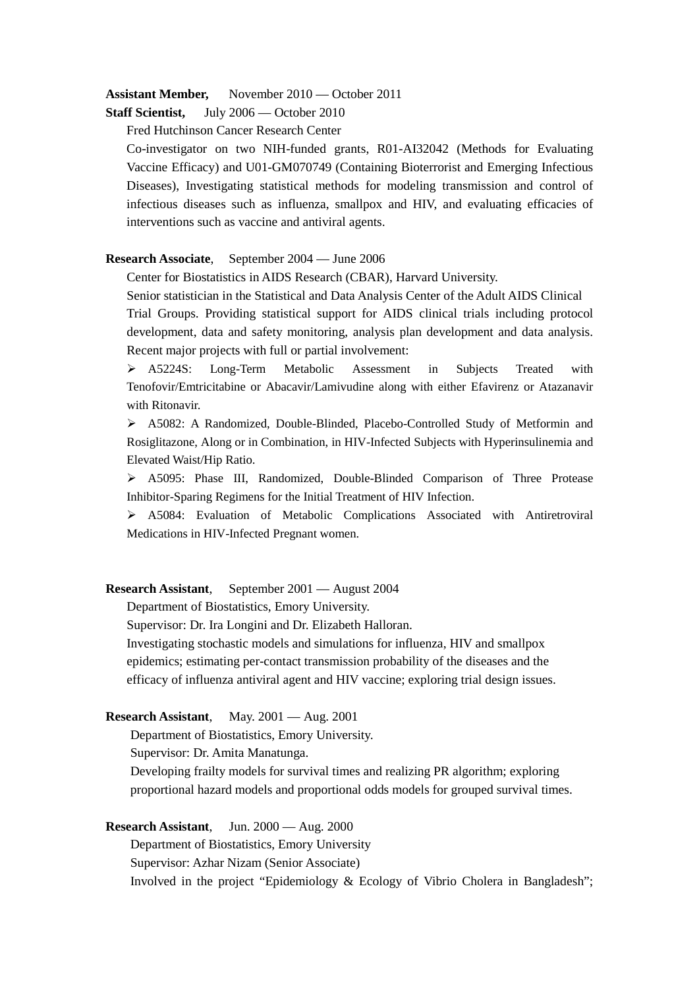#### **Assistant Member,** November 2010 — October 2011

**Staff Scientist,** July 2006 — October 2010

Fred Hutchinson Cancer Research Center

Co-investigator on two NIH-funded grants, R01-AI32042 (Methods for Evaluating Vaccine Efficacy) and U01-GM070749 (Containing Bioterrorist and Emerging Infectious Diseases), Investigating statistical methods for modeling transmission and control of infectious diseases such as influenza, smallpox and HIV, and evaluating efficacies of interventions such as vaccine and antiviral agents.

#### **Research Associate**, September 2004 — June 2006

Center for Biostatistics in AIDS Research (CBAR), Harvard University.

Senior statistician in the Statistical and Data Analysis Center of the Adult AIDS Clinical Trial Groups. Providing statistical support for AIDS clinical trials including protocol

development, data and safety monitoring, analysis plan development and data analysis. Recent major projects with full or partial involvement:

 A5224S: Long-Term Metabolic Assessment in Subjects Treated with Tenofovir/Emtricitabine or Abacavir/Lamivudine along with either Efavirenz or Atazanavir with Ritonavir.

 A5082: A Randomized, Double-Blinded, Placebo-Controlled Study of Metformin and Rosiglitazone, Along or in Combination, in HIV-Infected Subjects with Hyperinsulinemia and Elevated Waist/Hip Ratio.

 A5095: Phase III, Randomized, Double-Blinded Comparison of Three Protease Inhibitor-Sparing Regimens for the Initial Treatment of HIV Infection.

 A5084: Evaluation of Metabolic Complications Associated with Antiretroviral Medications in HIV-Infected Pregnant women.

#### **Research Assistant**, September 2001 — August 2004

Department of Biostatistics, Emory University.

Supervisor: Dr. Ira Longini and Dr. Elizabeth Halloran.

Investigating stochastic models and simulations for influenza, HIV and smallpox epidemics; estimating per-contact transmission probability of the diseases and the efficacy of influenza antiviral agent and HIV vaccine; exploring trial design issues.

#### **Research Assistant**, May. 2001 — Aug. 2001

Department of Biostatistics, Emory University.

Supervisor: Dr. Amita Manatunga.

Developing frailty models for survival times and realizing PR algorithm; exploring proportional hazard models and proportional odds models for grouped survival times.

**Research Assistant**, Jun. 2000 — Aug. 2000

Department of Biostatistics, Emory University Supervisor: Azhar Nizam (Senior Associate) Involved in the project "Epidemiology & Ecology of Vibrio Cholera in Bangladesh";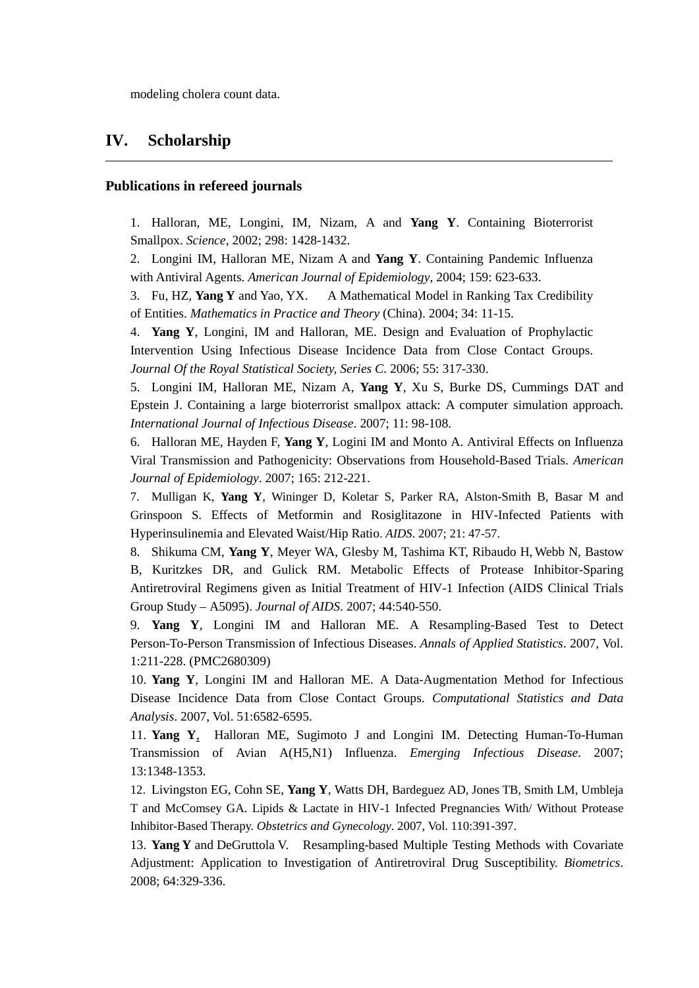modeling cholera count data.

## **IV. Scholarship**

#### **Publications in refereed journals**

1. Halloran, ME, Longini, IM, Nizam, A and **Yang Y**. Containing Bioterrorist Smallpox. *Science*, 2002; 298: 1428-1432.

2. Longini IM, Halloran ME, Nizam A and **Yang Y**. Containing Pandemic Influenza with Antiviral Agents. *American Journal of Epidemiology*, 2004; 159: 623-633.

3. Fu, HZ, **Yang Y** and Yao, YX. A Mathematical Model in Ranking Tax Credibility of Entities. *Mathematics in Practice and Theory* (China). 2004; 34: 11-15.

4. **Yang Y**, Longini, IM and Halloran, ME. Design and Evaluation of Prophylactic Intervention Using Infectious Disease Incidence Data from Close Contact Groups. *Journal Of the Royal Statistical Society, Series C*. 2006; 55: 317-330.

5. Longini IM, Halloran ME, Nizam A, **Yang Y**, Xu S, Burke DS, Cummings DAT and Epstein J. Containing a large bioterrorist smallpox attack: A computer simulation approach. *International Journal of Infectious Disease*. 2007; 11: 98-108.

6. Halloran ME, Hayden F, **Yang Y**, Logini IM and Monto A. Antiviral Effects on Influenza Viral Transmission and Pathogenicity: Observations from Household-Based Trials. *American Journal of Epidemiology*. 2007; 165: 212-221.

7. Mulligan K, **Yang Y**, Wininger D, Koletar S, Parker RA, Alston-Smith B, Basar M and Grinspoon S. Effects of Metformin and Rosiglitazone in HIV-Infected Patients with Hyperinsulinemia and Elevated Waist/Hip Ratio. *AIDS*. 2007; 21: 47-57.

8. Shikuma CM, **Yang Y**, Meyer WA, Glesby M, Tashima KT, Ribaudo H, Webb N, Bastow B, Kuritzkes DR, and Gulick RM. Metabolic Effects of Protease Inhibitor-Sparing Antiretroviral Regimens given as Initial Treatment of HIV-1 Infection (AIDS Clinical Trials Group Study – A5095). *Journal of AIDS*. 2007; 44:540-550.

9. **Yang Y**, Longini IM and Halloran ME. A Resampling-Based Test to Detect Person-To-Person Transmission of Infectious Diseases. *Annals of Applied Statistics*. 2007, Vol. 1:211-228. (PMC2680309)

10. **Yang Y**, Longini IM and Halloran ME. A Data-Augmentation Method for Infectious Disease Incidence Data from Close Contact Groups. *Computational Statistics and Data Analysis*. 2007, Vol. 51:6582-6595.

11. **Yang Y**, Halloran ME, Sugimoto J and Longini IM. Detecting Human-To-Human Transmission of Avian A(H5,N1) Influenza. *Emerging Infectious Disease*. 2007; 13:1348-1353.

12. Livingston EG, Cohn SE, **Yang Y**, Watts DH, Bardeguez AD, Jones TB, Smith LM, Umbleja T and McComsey GA. Lipids & Lactate in HIV-1 Infected Pregnancies With/ Without Protease Inhibitor-Based Therapy. *Obstetrics and Gynecology*. 2007, Vol. 110:391-397.

13. **Yang Y** and DeGruttola V. Resampling-based Multiple Testing Methods with Covariate Adjustment: Application to Investigation of Antiretroviral Drug Susceptibility. *Biometrics*. 2008; 64:329-336.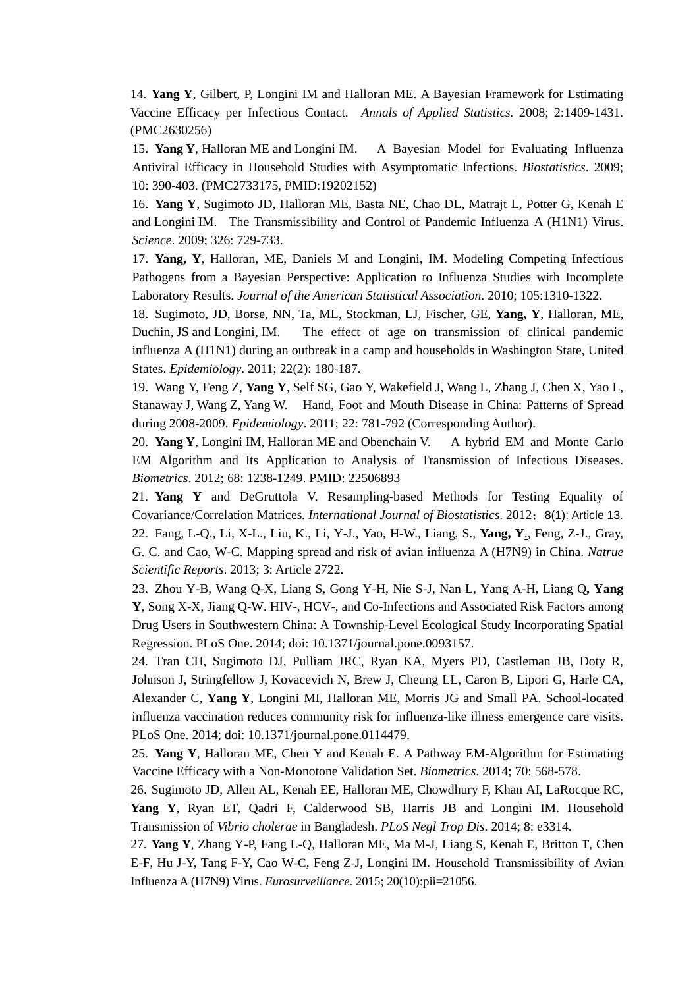14. **Yang Y**, Gilbert, P, Longini IM and Halloran ME. A Bayesian Framework for Estimating Vaccine Efficacy per Infectious Contact. *Annals of Applied Statistics.* 2008; 2:1409-1431. (PMC2630256)

15. **Yang Y**, Halloran ME and Longini IM. A Bayesian Model for Evaluating Influenza Antiviral Efficacy in Household Studies with Asymptomatic Infections. *Biostatistics*. 2009; 10: 390-403. (PMC2733175, PMID:19202152)

16. **Yang Y**, Sugimoto JD, Halloran ME, Basta NE, Chao DL, Matrajt L, Potter G, Kenah E and Longini IM. The Transmissibility and Control of Pandemic Influenza A (H1N1) Virus. *Science*. 2009; 326: 729-733.

17. **Yang, Y**, Halloran, ME, Daniels M and Longini, IM. Modeling Competing Infectious Pathogens from a Bayesian Perspective: Application to Influenza Studies with Incomplete Laboratory Results. *Journal of the American Statistical Association*. 2010; 105:1310-1322.

18. Sugimoto, JD, Borse, NN, Ta, ML, Stockman, LJ, Fischer, GE, **Yang, Y**, Halloran, ME, Duchin, JS and Longini, IM. The effect of age on transmission of clinical pandemic influenza A (H1N1) during an outbreak in a camp and households in Washington State, United States. *Epidemiology*. 2011; 22(2): 180-187.

19. Wang Y, Feng Z, **Yang Y**, Self SG, Gao Y, Wakefield J, Wang L, Zhang J, Chen X, Yao L, Stanaway J, Wang Z, Yang W. Hand, Foot and Mouth Disease in China: Patterns of Spread during 2008-2009. *Epidemiology*. 2011; 22: 781-792 (Corresponding Author).

20. **Yang Y**, Longini IM, Halloran ME and Obenchain V. A hybrid EM and Monte Carlo EM Algorithm and Its Application to Analysis of Transmission of Infectious Diseases. *Biometrics*. 2012; 68: 1238-1249. PMID: 22506893

21. **Yang Y** and DeGruttola V. Resampling-based Methods for Testing Equality of Covariance/Correlation Matrices. *International Journal of Biostatistics*. 2012;8(1): Article 13. 22. Fang, L-Q., Li, X-L., Liu, K., Li, Y-J., Yao, H-W., Liang, S., **Yang, Y**., Feng, Z-J., Gray, G. C. and Cao, W-C. Mapping spread and risk of avian influenza A (H7N9) in China. *Natrue Scientific Reports*. 2013; 3: Article 2722.

23. Zhou Y-B, Wang Q-X, Liang S, Gong Y-H, Nie S-J, Nan L, Yang A-H, Liang Q**, Yang Y**, Song X-X, Jiang Q-W. HIV-, HCV-, and Co-Infections and Associated Risk Factors among Drug Users in Southwestern China: A Township-Level Ecological Study Incorporating Spatial Regression. PLoS One. 2014; doi: 10.1371/journal.pone.0093157.

24. Tran CH, Sugimoto DJ, Pulliam JRC, Ryan KA, Myers PD, Castleman JB, Doty R, Johnson J, Stringfellow J, Kovacevich N, Brew J, Cheung LL, Caron B, Lipori G, Harle CA, Alexander C, **Yang Y**, Longini MI, Halloran ME, Morris JG and Small PA. School-located influenza vaccination reduces community risk for influenza-like illness emergence care visits. PLoS One. 2014; doi: 10.1371/journal.pone.0114479.

25. **Yang Y**, Halloran ME, Chen Y and Kenah E. A Pathway EM-Algorithm for Estimating Vaccine Efficacy with a Non-Monotone Validation Set. *Biometrics*. 2014; 70: 568-578.

26. Sugimoto JD, Allen AL, Kenah EE, Halloran ME, Chowdhury F, Khan AI, LaRocque RC, **Yang Y**, Ryan ET, Qadri F, Calderwood SB, Harris JB and Longini IM. Household Transmission of *Vibrio cholerae* in Bangladesh. *PLoS Negl Trop Dis*. 2014; 8: e3314.

27. **Yang Y**, Zhang Y-P, Fang L-Q, Halloran ME, Ma M-J, Liang S, Kenah E, Britton T, Chen E-F, Hu J-Y, Tang F-Y, Cao W-C, Feng Z-J, Longini IM. Household Transmissibility of Avian Influenza A (H7N9) Virus. *Eurosurveillance*. 2015; 20(10):pii=21056.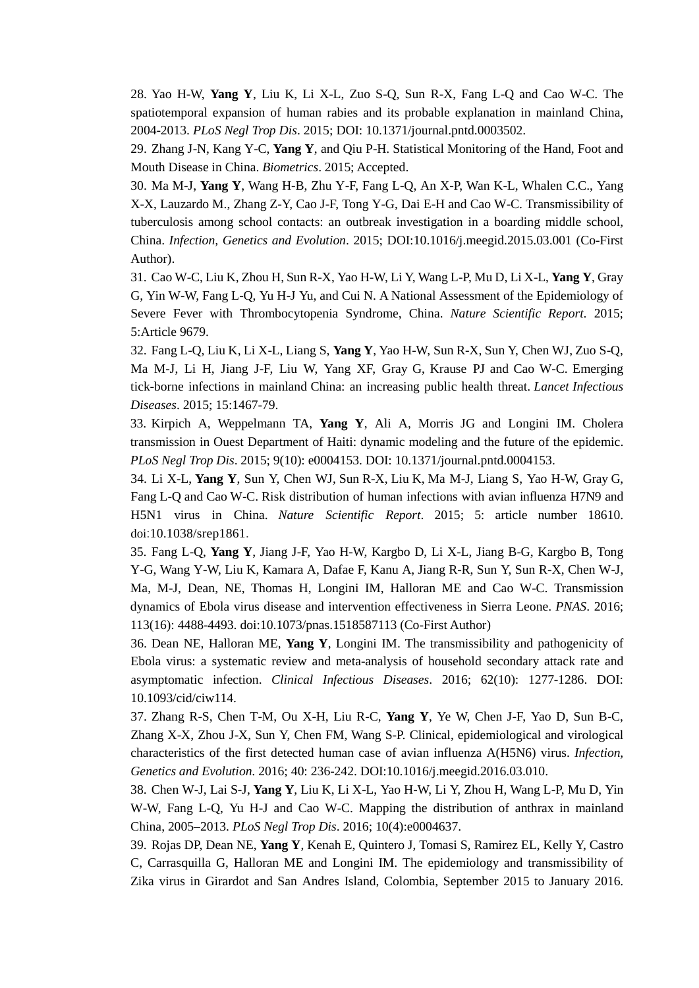28. Yao H-W, **Yang Y**, Liu K, Li X-L, Zuo S-Q, Sun R-X, Fang L-Q and Cao W-C. The spatiotemporal expansion of human rabies and its probable explanation in mainland China, 2004-2013. *PLoS Negl Trop Dis*. 2015; DOI: 10.1371/journal.pntd.0003502.

29. Zhang J-N, Kang Y-C, **Yang Y**, and Qiu P-H. Statistical Monitoring of the Hand, Foot and Mouth Disease in China. *Biometrics*. 2015; Accepted.

30. Ma M-J, **Yang Y**, Wang H-B, Zhu Y-F, Fang L-Q, An X-P, Wan K-L, Whalen C.C., Yang X-X, Lauzardo M., Zhang Z-Y, Cao J-F, Tong Y-G, Dai E-H and Cao W-C. Transmissibility of tuberculosis among school contacts: an outbreak investigation in a boarding middle school, China. *Infection, Genetics and Evolution*. 2015; DOI:10.1016/j.meegid.2015.03.001 (Co-First Author).

31. Cao W-C, Liu K, Zhou H, Sun R-X, Yao H-W, Li Y, Wang L-P, Mu D, Li X-L, **Yang Y**, Gray G, Yin W-W, Fang L-Q, Yu H-J Yu, and Cui N. A National Assessment of the Epidemiology of Severe Fever with Thrombocytopenia Syndrome, China. *Nature Scientific Report*. 2015; 5:Article 9679.

32. Fang L-Q, Liu K, Li X-L, Liang S, **Yang Y**, Yao H-W, Sun R-X, Sun Y, Chen WJ, Zuo S-Q, Ma M-J, Li H, Jiang J-F, Liu W, Yang XF, Gray G, Krause PJ and Cao W-C. Emerging tick-borne infections in mainland China: an increasing public health threat. *Lancet Infectious Diseases*. 2015; 15:1467-79.

33. Kirpich A, Weppelmann TA, **Yang Y**, Ali A, Morris JG and Longini IM. Cholera transmission in Ouest Department of Haiti: dynamic modeling and the future of the epidemic. *PLoS Negl Trop Dis*. 2015; 9(10): e0004153. DOI: 10.1371/journal.pntd.0004153.

34. Li X-L, **Yang Y**, Sun Y, Chen WJ, Sun R-X, Liu K, Ma M-J, Liang S, Yao H-W, Gray G, Fang L-Q and Cao W-C. Risk distribution of human infections with avian influenza H7N9 and H5N1 virus in China. *Nature Scientific Report*. 2015; 5: article number 18610. doi:10.1038/srep1861.

35. Fang L-Q, **Yang Y**, Jiang J-F, Yao H-W, Kargbo D, Li X-L, Jiang B-G, Kargbo B, Tong Y-G, Wang Y-W, Liu K, Kamara A, Dafae F, Kanu A, Jiang R-R, Sun Y, Sun R-X, Chen W-J, Ma, M-J, Dean, NE, Thomas H, Longini IM, Halloran ME and Cao W-C. Transmission dynamics of Ebola virus disease and intervention effectiveness in Sierra Leone. *PNAS*. 2016; 113(16): 4488-4493. doi:10.1073/pnas.1518587113 (Co-First Author)

36. Dean NE, Halloran ME, **Yang Y**, Longini IM. The transmissibility and pathogenicity of Ebola virus: a systematic review and meta-analysis of household secondary attack rate and asymptomatic infection. *Clinical Infectious Diseases*. 2016; 62(10): 1277-1286. DOI: 10.1093/cid/ciw114.

37. Zhang R-S, Chen T-M, Ou X-H, Liu R-C, **Yang Y**, Ye W, Chen J-F, Yao D, Sun B-C, Zhang X-X, Zhou J-X, Sun Y, Chen FM, Wang S-P. Clinical, epidemiological and virological characteristics of the first detected human case of avian influenza A(H5N6) virus. *Infection, Genetics and Evolution*. 2016; 40: 236-242. DOI:10.1016/j.meegid.2016.03.010.

38. Chen W-J, Lai S-J, **Yang Y**, Liu K, Li X-L, Yao H-W, Li Y, Zhou H, Wang L-P, Mu D, Yin W-W, Fang L-Q, Yu H-J and Cao W-C. Mapping the distribution of anthrax in mainland China, 2005–2013. *PLoS Negl Trop Dis*. 2016; 10(4):e0004637.

39. Rojas DP, Dean NE, **Yang Y**, Kenah E, Quintero J, Tomasi S, Ramirez EL, Kelly Y, Castro C, Carrasquilla G, Halloran ME and Longini IM. The epidemiology and transmissibility of Zika virus in Girardot and San Andres Island, Colombia, September 2015 to January 2016.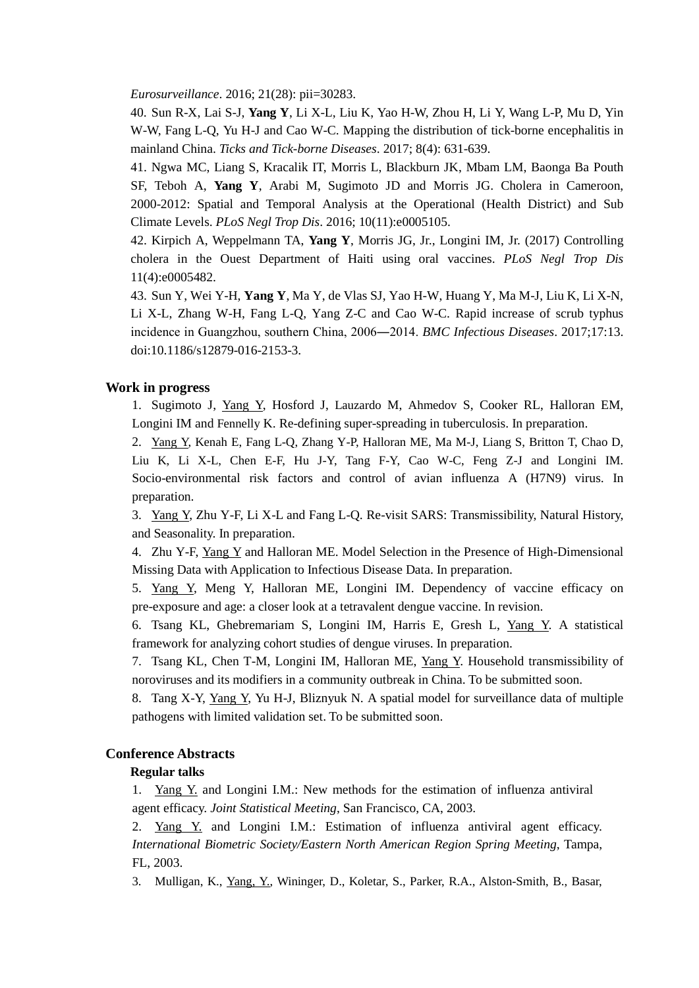*Eurosurveillance*. 2016; 21(28): pii=30283.

40. Sun R-X, Lai S-J, **Yang Y**, Li X-L, Liu K, Yao H-W, Zhou H, Li Y, Wang L-P, Mu D, Yin W-W, Fang L-Q, Yu H-J and Cao W-C. Mapping the distribution of tick-borne encephalitis in mainland China. *Ticks and Tick-borne Diseases*. 2017; 8(4): 631-639.

41. Ngwa MC, Liang S, Kracalik IT, Morris L, Blackburn JK, Mbam LM, Baonga Ba Pouth SF, Teboh A, **Yang Y**, Arabi M, Sugimoto JD and Morris JG. Cholera in Cameroon, 2000-2012: Spatial and Temporal Analysis at the Operational (Health District) and Sub Climate Levels. *PLoS Negl Trop Dis*. 2016; 10(11):e0005105.

42. Kirpich A, Weppelmann TA, **Yang Y**, Morris JG, Jr., Longini IM, Jr. (2017) Controlling cholera in the Ouest Department of Haiti using oral vaccines. *PLoS Negl Trop Dis* 11(4):e0005482.

43. Sun Y, Wei Y-H, **Yang Y**, Ma Y, de Vlas SJ, Yao H-W, Huang Y, Ma M-J, Liu K, Li X-N, Li X-L, Zhang W-H, Fang L-Q, Yang Z-C and Cao W-C. Rapid increase of scrub typhus incidence in Guangzhou, southern China, 2006―2014. *BMC Infectious Diseases*. 2017;17:13. doi:10.1186/s12879-016-2153-3.

#### **Work in progress**

1. Sugimoto J, Yang Y, Hosford J, Lauzardo M, Ahmedov S, Cooker RL, Halloran EM, Longini IM and Fennelly K. Re-defining super-spreading in tuberculosis. In preparation.

2. Yang Y, Kenah E, Fang L-Q, Zhang Y-P, Halloran ME, Ma M-J, Liang S, Britton T, Chao D, Liu K, Li X-L, Chen E-F, Hu J-Y, Tang F-Y, Cao W-C, Feng Z-J and Longini IM. Socio-environmental risk factors and control of avian influenza A (H7N9) virus. In preparation.

3. Yang Y, Zhu Y-F, Li X-L and Fang L-Q. Re-visit SARS: Transmissibility, Natural History, and Seasonality. In preparation.

4. Zhu Y-F, Yang Y and Halloran ME. Model Selection in the Presence of High-Dimensional Missing Data with Application to Infectious Disease Data. In preparation.

5. Yang Y, Meng Y, Halloran ME, Longini IM. Dependency of vaccine efficacy on pre-exposure and age: a closer look at a tetravalent dengue vaccine. In revision.

6. Tsang KL, Ghebremariam S, Longini IM, Harris E, Gresh L, Yang Y. A statistical framework for analyzing cohort studies of dengue viruses. In preparation.

7. Tsang KL, Chen T-M, Longini IM, Halloran ME, Yang Y. Household transmissibility of noroviruses and its modifiers in a community outbreak in China. To be submitted soon.

8. Tang X-Y, Yang Y, Yu H-J, Bliznyuk N. A spatial model for surveillance data of multiple pathogens with limited validation set. To be submitted soon.

## **Conference Abstracts**

#### **Regular talks**

1. Yang Y. and Longini I.M.: New methods for the estimation of influenza antiviral agent efficacy. *Joint Statistical Meeting*, San Francisco, CA, 2003.

2. Yang Y. and Longini I.M.: Estimation of influenza antiviral agent efficacy. *International Biometric Society/Eastern North American Region Spring Meeting*, Tampa, FL, 2003.

3. Mulligan, K., Yang, Y., Wininger, D., Koletar, S., Parker, R.A., Alston-Smith, B., Basar,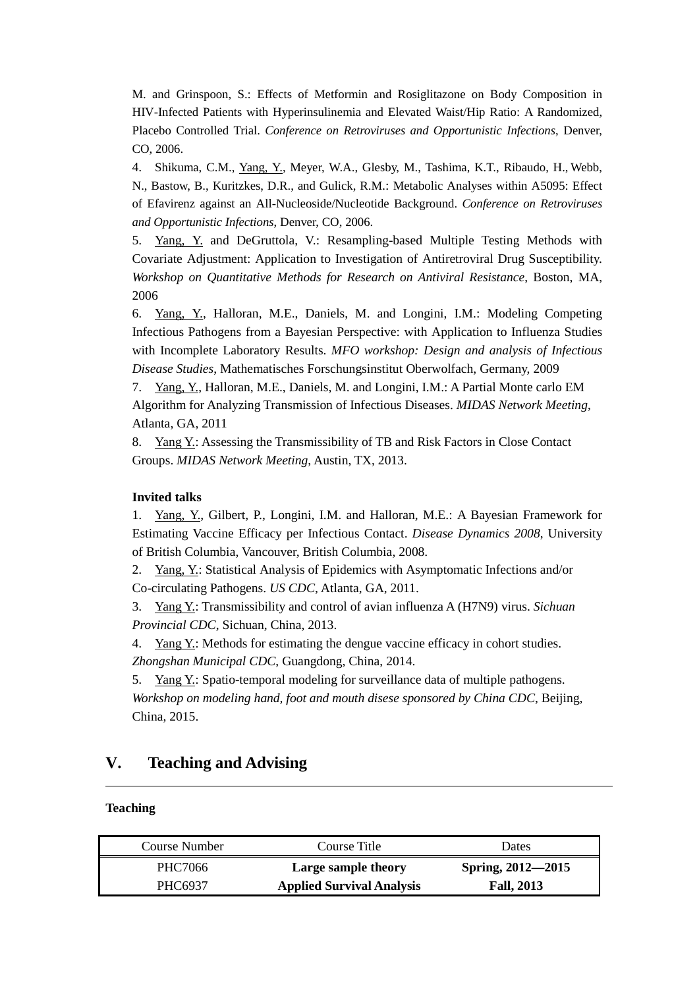M. and Grinspoon, S.: Effects of Metformin and Rosiglitazone on Body Composition in HIV-Infected Patients with Hyperinsulinemia and Elevated Waist/Hip Ratio: A Randomized, Placebo Controlled Trial. *Conference on Retroviruses and Opportunistic Infections*, Denver, CO, 2006.

4. Shikuma, C.M., Yang, Y., Meyer, W.A., Glesby, M., Tashima, K.T., Ribaudo, H., Webb, N., Bastow, B., Kuritzkes, D.R., and Gulick, R.M.: Metabolic Analyses within A5095: Effect of Efavirenz against an All-Nucleoside/Nucleotide Background. *Conference on Retroviruses and Opportunistic Infections*, Denver, CO, 2006.

5. Yang, Y. and DeGruttola, V.: Resampling-based Multiple Testing Methods with Covariate Adjustment: Application to Investigation of Antiretroviral Drug Susceptibility. *Workshop on Quantitative Methods for Research on Antiviral Resistance*, Boston, MA, 2006

6. Yang, Y., Halloran, M.E., Daniels, M. and Longini, I.M.: Modeling Competing Infectious Pathogens from a Bayesian Perspective: with Application to Influenza Studies with Incomplete Laboratory Results. *MFO workshop: Design and analysis of Infectious Disease Studies*, Mathematisches Forschungsinstitut Oberwolfach, Germany, 2009

7. Yang, Y., Halloran, M.E., Daniels, M. and Longini, I.M.: A Partial Monte carlo EM Algorithm for Analyzing Transmission of Infectious Diseases. *MIDAS Network Meeting*, Atlanta, GA, 2011

8. Yang Y.: Assessing the Transmissibility of TB and Risk Factors in Close Contact Groups. *MIDAS Network Meeting*, Austin, TX, 2013.

### **Invited talks**

1. Yang, Y., Gilbert, P., Longini, I.M. and Halloran, M.E.: A Bayesian Framework for Estimating Vaccine Efficacy per Infectious Contact. *Disease Dynamics 2008*, University of British Columbia, Vancouver, British Columbia, 2008.

2. Yang, Y.: Statistical Analysis of Epidemics with Asymptomatic Infections and/or Co-circulating Pathogens. *US CDC*, Atlanta, GA, 2011.

3. Yang Y.: Transmissibility and control of avian influenza A (H7N9) virus. *Sichuan Provincial CDC*, Sichuan, China, 2013.

4. Yang Y: Methods for estimating the dengue vaccine efficacy in cohort studies. *Zhongshan Municipal CDC*, Guangdong, China, 2014.

5. Yang Y: Spatio-temporal modeling for surveillance data of multiple pathogens. *Workshop on modeling hand, foot and mouth disese sponsored by China CDC*, Beijing, China, 2015.

## **V. Teaching and Advising**

### **Teaching**

| Course Number | Course Title                     | Dates             |
|---------------|----------------------------------|-------------------|
| PHC7066       | Large sample theory              | Spring, 2012—2015 |
| PHC6937       | <b>Applied Survival Analysis</b> | <b>Fall, 2013</b> |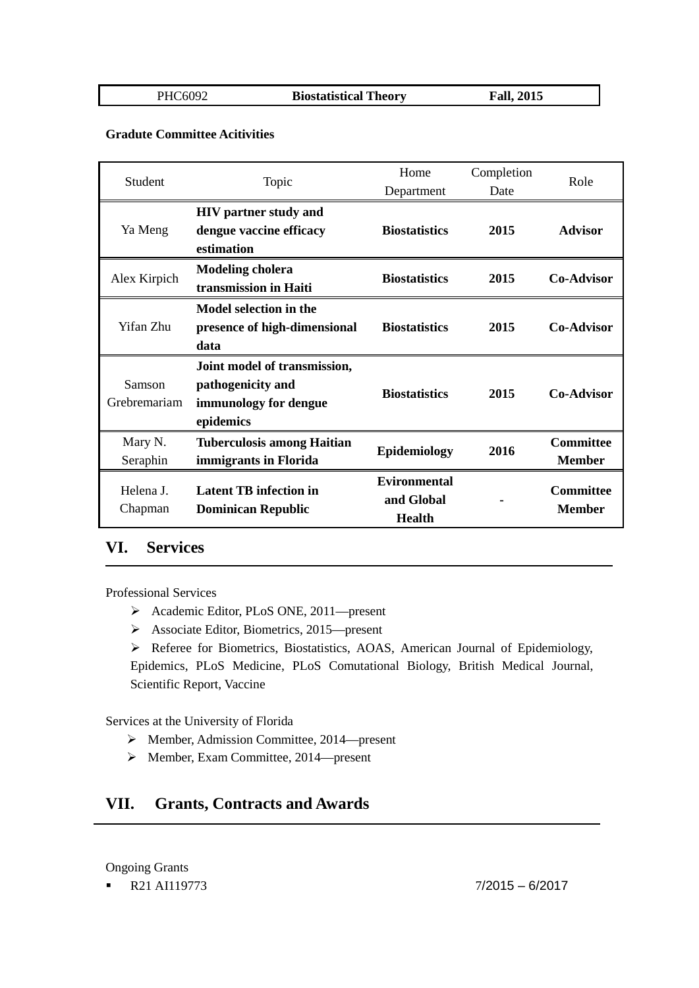PHC6092 **Biostatistical Theory Fall, 2015**

### **Gradute Committee Acitivities**

| Student      | Topic                                                      | Home                              | Completion    | Role                              |
|--------------|------------------------------------------------------------|-----------------------------------|---------------|-----------------------------------|
|              |                                                            | Department                        | Date          |                                   |
|              | <b>HIV</b> partner study and                               |                                   |               |                                   |
| Ya Meng      | dengue vaccine efficacy                                    | <b>Biostatistics</b>              | 2015          | <b>Advisor</b>                    |
|              | estimation                                                 |                                   |               |                                   |
|              | <b>Modeling cholera</b>                                    | <b>Biostatistics</b>              | 2015          | <b>Co-Advisor</b>                 |
| Alex Kirpich | transmission in Haiti                                      |                                   |               |                                   |
|              | Model selection in the                                     |                                   |               |                                   |
| Yifan Zhu    | presence of high-dimensional                               | <b>Biostatistics</b>              | 2015          | <b>Co-Advisor</b>                 |
|              | data                                                       |                                   |               |                                   |
|              | Joint model of transmission,                               |                                   |               |                                   |
| Samson       | pathogenicity and                                          | <b>Biostatistics</b>              | 2015          | <b>Co-Advisor</b>                 |
| Grebremariam | immunology for dengue                                      |                                   |               |                                   |
|              | epidemics                                                  |                                   |               |                                   |
| Mary N.      | <b>Tuberculosis among Haitian</b>                          |                                   |               | <b>Committee</b>                  |
| Seraphin     | immigrants in Florida                                      | Epidemiology                      | 2016          | <b>Member</b>                     |
|              | <b>Latent TB</b> infection in<br><b>Dominican Republic</b> | <b>Evironmental</b><br>and Global |               | <b>Committee</b><br><b>Member</b> |
| Helena J.    |                                                            |                                   | <b>Health</b> |                                   |
| Chapman      |                                                            |                                   |               |                                   |

## **VI. Services**

Professional Services

- Academic Editor, PLoS ONE, 2011—present
- Associate Editor, Biometrics, 2015—present

 Referee for Biometrics, Biostatistics, AOAS, American Journal of Epidemiology, Epidemics, PLoS Medicine, PLoS Comutational Biology, British Medical Journal, Scientific Report, Vaccine

Services at the University of Florida

- $\triangleright$  Member, Admission Committee, 2014—present
- Member, Exam Committee, 2014—present

# **VII. Grants, Contracts and Awards**

Ongoing Grants

 $R21$  AI119773  $7/2015 - 6/2017$